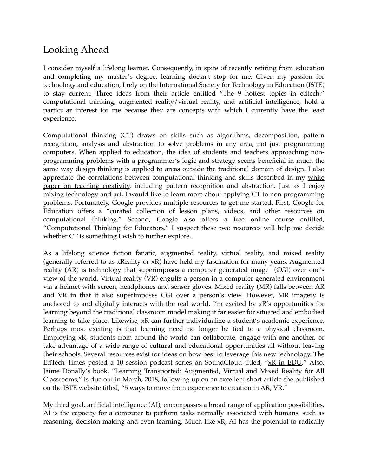## Looking Ahead

I consider myself a lifelong learner. Consequently, in spite of recently retiring from education and completing my master's degree, learning doesn't stop for me. Given my passion for technology and education, I rely on the International Society for Technology in Education [\(ISTE](https://www.iste.org)) to stay current. Three ideas from their article entitled ["The 9 hottest topics in edtech,](https://www.iste.org/explore/articleDetail?articleid=674)" computational thinking, augmented reality/virtual reality, and artificial intelligence, hold a particular interest for me because they are concepts with which I currently have the least experience.

Computational thinking (CT) draws on skills such as algorithms, decomposition, pattern recognition, analysis and abstraction to solve problems in any area, not just programming computers. When applied to education, the idea of students and teachers approaching nonprogramming problems with a programmer's logic and strategy seems beneficial in much the same way design thinking is applied to areas outside the traditional domain of design. I also appreciate the correlations between computational thinking and skills described in my white [paper on teaching creativity,](https://docs.google.com/document/d/12sRN5tN6DaRU2qxhefelY-ihaVYrFCGTmTD_JXZtFmo/edit?usp=sharing) including pattern recognition and abstraction. Just as I enjoy mixing technology and art, I would like to learn more about applying CT to non-programming problems. Fortunately, Google provides multiple resources to get me started. First, Google for [Education offers a "curated collection of lesson plans, videos, and other resources on](https://edu.google.com/resources/programs/exploring-computational-thinking/)  [computational thinking](https://edu.google.com/resources/programs/exploring-computational-thinking/)." Second, Google also offers a free online course entitled, "[Computational Thinking for Educators.](https://computationalthinkingcourse.withgoogle.com/unit)" I suspect these two resources will help me decide whether CT is something I wish to further explore.

As a lifelong science fiction fanatic, augmented reality, virtual reality, and mixed reality (generally referred to as xReality or xR) have held my fascination for many years. Augmented reality (AR) is technology that superimposes a computer generated image (CGI) over one's view of the world. Virtual reality (VR) engulfs a person in a computer generated environment via a helmet with screen, headphones and sensor gloves. Mixed reality (MR) falls between AR and VR in that it also superimposes CGI over a person's view. However, MR imagery is anchored to and digitally interacts with the real world. I'm excited by xR's opportunities for learning beyond the traditional classroom model making it far easier for situated and embodied learning to take place. Likewise, xR can further individualize a student's academic experience. Perhaps most exciting is that learning need no longer be tied to a physical classroom. Employing xR, students from around the world can collaborate, engage with one another, or take advantage of a wide range of cultural and educational opportunities all without leaving their schools. Several resources exist for ideas on how best to leverage this new technology. The EdTech Times posted a 10 session podcast series on SoundCloud titled, ["xR in EDU](https://soundcloud.com/search?q=edtechtimes%20xR%20in%20edu)." Also, Jaime Donally's book, "Learning Transported: Augmented, Virtual and Mixed Reality for All [Classrooms](https://www.iste.org/resources/product?id=4099&cta=home-3)," is due out in March, 2018, following up on an excellent short article she published on the ISTE website titled, ["5 ways to move from experience to creation in AR, VR](https://www.iste.org/explore/articleDetail?articleid=2133&category=Tools,-devices-and-apps&article=5+ways+to+move+from+experience+to+creation+in+AR,+VR)."

My third goal, artificial intelligence (AI), encompasses a broad range of application possibilities. AI is the capacity for a computer to perform tasks normally associated with humans, such as reasoning, decision making and even learning. Much like xR, AI has the potential to radically